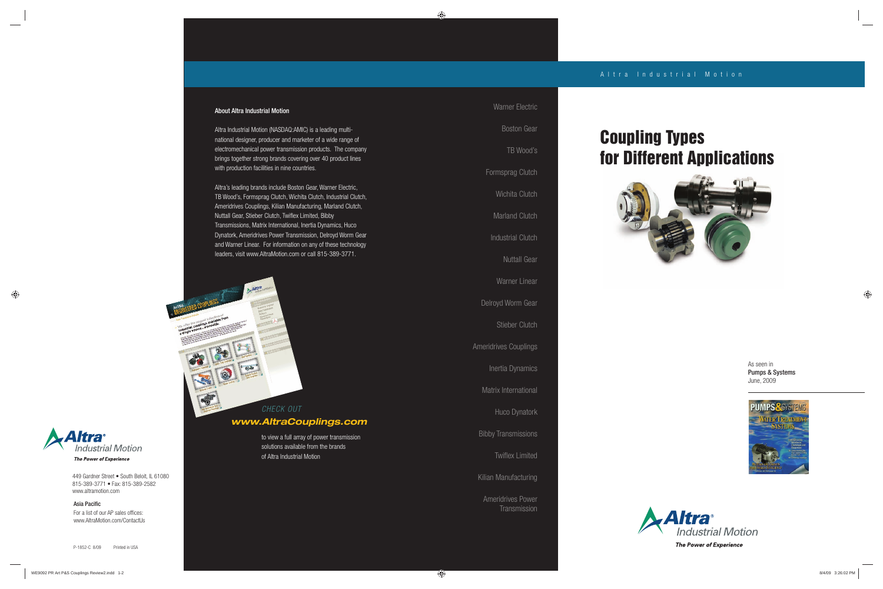### About Altra Industrial Motion

Altra Industrial Motion (NASDAQ:AMIC) is a leading multinational designer, producer and marketer of a wide range of electromechanical power transmission products. The company brings together strong brands covering over 40 product lines with production facilities in nine countries.

MAltra

Ameridrives Power **Transmission** 

Altra's leading brands include Boston Gear, Warner Electric, TB Wood's, Formsprag Clutch, Wichita Clutch, Industrial Clutch, Ameridrives Couplings, Kilian Manufacturing, Marland Clutch, Nuttall Gear, Stieber Clutch, Twiflex Limited, Bibby Transmissions, Matrix International, Inertia Dynamics, Huco Dynatork, Ameridrives Power Transmission, Delroyd Worm Gear and Warner Linear. For information on any of these technology leaders, visit www.AltraMotion.com or call 815-389-3771.

For a list of our AP sales offices: www.AltraMotion.com/ContactUs



449 Gardner Street • South Beloit, IL 61080 815-389-3771 • Fax: 815-389-2582 www.altramotion.com

### Asia Pacific

Warner Electric

Boston Gear

TB Wood's Formsprag Clutch Wichita Clutch Marland Clutch Industrial Clutch Nuttall Gear Warner Linear Delroyd Worm Gear Stieber Clutch Ameridrives Couplings Inertia Dynamics Matrix International Huco Dynatork Bibby Transmissions **Twiflex Limited** Kilian Manufacturing

*Mtra* **Industrial Motion** 

**The Power of Experience** 

 As seen in Pumps & Systems June, 2009





## **Coupling Types for Different Applications**



to view a full array of power transmission solutions available from the brands of Altra Industrial Motion

## CHECK OUT *www.AltraCouplings.com*